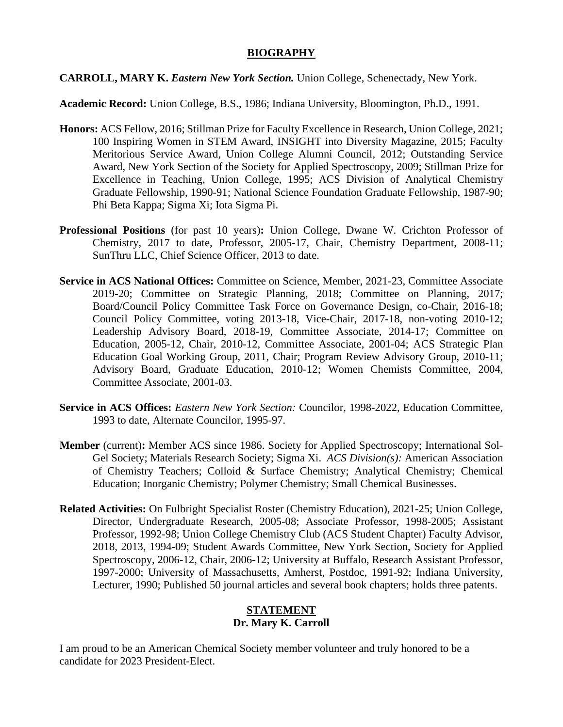# **BIOGRAPHY**

#### **CARROLL, MARY K.** *Eastern New York Section.* Union College, Schenectady, New York.

**Academic Record:** Union College, B.S., 1986; Indiana University, Bloomington, Ph.D., 1991.

- **Honors:** ACS Fellow, 2016; Stillman Prize for Faculty Excellence in Research, Union College, 2021; 100 Inspiring Women in STEM Award, INSIGHT into Diversity Magazine, 2015; Faculty Meritorious Service Award, Union College Alumni Council, 2012; Outstanding Service Award, New York Section of the Society for Applied Spectroscopy, 2009; Stillman Prize for Excellence in Teaching, Union College, 1995; ACS Division of Analytical Chemistry Graduate Fellowship, 1990-91; National Science Foundation Graduate Fellowship, 1987-90; Phi Beta Kappa; Sigma Xi; Iota Sigma Pi.
- **Professional Positions** (for past 10 years)**:** Union College, Dwane W. Crichton Professor of Chemistry, 2017 to date, Professor, 2005-17, Chair, Chemistry Department, 2008-11; SunThru LLC, Chief Science Officer, 2013 to date.
- **Service in ACS National Offices:** Committee on Science, Member, 2021-23, Committee Associate 2019-20; Committee on Strategic Planning, 2018; Committee on Planning, 2017; Board/Council Policy Committee Task Force on Governance Design, co-Chair, 2016-18; Council Policy Committee, voting 2013-18, Vice-Chair, 2017-18, non-voting 2010-12; Leadership Advisory Board, 2018-19, Committee Associate, 2014-17; Committee on Education, 2005-12, Chair, 2010-12, Committee Associate, 2001-04; ACS Strategic Plan Education Goal Working Group, 2011, Chair; Program Review Advisory Group, 2010-11; Advisory Board, Graduate Education, 2010-12; Women Chemists Committee, 2004, Committee Associate, 2001-03.
- **Service in ACS Offices:** *Eastern New York Section:* Councilor, 1998-2022, Education Committee, 1993 to date, Alternate Councilor, 1995-97.
- **Member** (current)**:** Member ACS since 1986. Society for Applied Spectroscopy; International Sol-Gel Society; Materials Research Society; Sigma Xi. *ACS Division(s):* American Association of Chemistry Teachers; Colloid & Surface Chemistry; Analytical Chemistry; Chemical Education; Inorganic Chemistry; Polymer Chemistry; Small Chemical Businesses.
- **Related Activities:** On Fulbright Specialist Roster (Chemistry Education), 2021-25; Union College, Director, Undergraduate Research, 2005-08; Associate Professor, 1998-2005; Assistant Professor, 1992-98; Union College Chemistry Club (ACS Student Chapter) Faculty Advisor, 2018, 2013, 1994-09; Student Awards Committee, New York Section, Society for Applied Spectroscopy, 2006-12, Chair, 2006-12; University at Buffalo, Research Assistant Professor, 1997-2000; University of Massachusetts, Amherst, Postdoc, 1991-92; Indiana University, Lecturer, 1990; Published 50 journal articles and several book chapters; holds three patents.

# **STATEMENT Dr. Mary K. Carroll**

I am proud to be an American Chemical Society member volunteer and truly honored to be a candidate for 2023 President-Elect.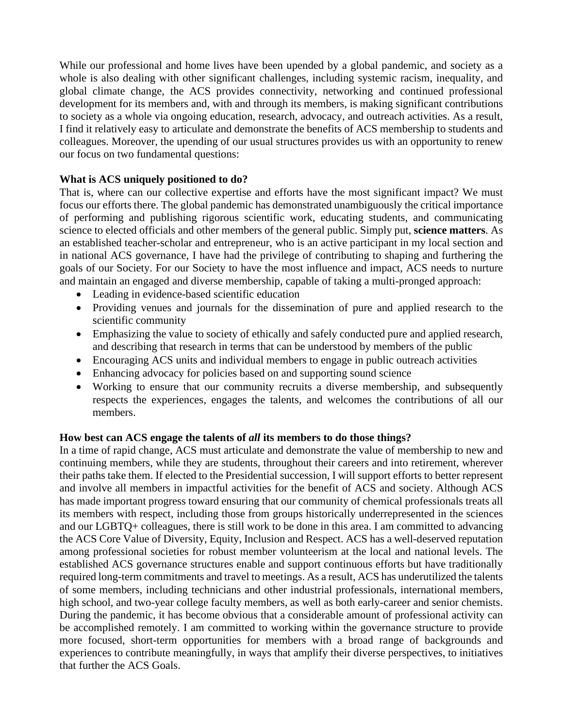While our professional and home lives have been upended by a global pandemic, and society as a whole is also dealing with other significant challenges, including systemic racism, inequality, and global climate change, the ACS provides connectivity, networking and continued professional development for its members and, with and through its members, is making significant contributions to society as a whole via ongoing education, research, advocacy, and outreach activities. As a result, I find it relatively easy to articulate and demonstrate the benefits of ACS membership to students and colleagues. Moreover, the upending of our usual structures provides us with an opportunity to renew our focus on two fundamental questions:

### **What is ACS uniquely positioned to do?**

That is, where can our collective expertise and efforts have the most significant impact? We must focus our efforts there. The global pandemic has demonstrated unambiguously the critical importance of performing and publishing rigorous scientific work, educating students, and communicating science to elected officials and other members of the general public. Simply put, **science matters**. As an established teacher-scholar and entrepreneur, who is an active participant in my local section and in national ACS governance, I have had the privilege of contributing to shaping and furthering the goals of our Society. For our Society to have the most influence and impact, ACS needs to nurture and maintain an engaged and diverse membership, capable of taking a multi-pronged approach:

- Leading in evidence-based scientific education
- Providing venues and journals for the dissemination of pure and applied research to the scientific community
- Emphasizing the value to society of ethically and safely conducted pure and applied research, and describing that research in terms that can be understood by members of the public
- Encouraging ACS units and individual members to engage in public outreach activities
- Enhancing advocacy for policies based on and supporting sound science
- Working to ensure that our community recruits a diverse membership, and subsequently respects the experiences, engages the talents, and welcomes the contributions of all our members.

#### **How best can ACS engage the talents of** *all* **its members to do those things?**

In a time of rapid change, ACS must articulate and demonstrate the value of membership to new and continuing members, while they are students, throughout their careers and into retirement, wherever their paths take them. If elected to the Presidential succession, I will support efforts to better represent and involve all members in impactful activities for the benefit of ACS and society. Although ACS has made important progress toward ensuring that our community of chemical professionals treats all its members with respect, including those from groups historically underrepresented in the sciences and our LGBTQ+ colleagues, there is still work to be done in this area. I am committed to advancing the ACS Core Value of Diversity, Equity, Inclusion and Respect. ACS has a well-deserved reputation among professional societies for robust member volunteerism at the local and national levels. The established ACS governance structures enable and support continuous efforts but have traditionally required long-term commitments and travel to meetings. As a result, ACS has underutilized the talents of some members, including technicians and other industrial professionals, international members, high school, and two-year college faculty members, as well as both early-career and senior chemists. During the pandemic, it has become obvious that a considerable amount of professional activity can be accomplished remotely. I am committed to working within the governance structure to provide more focused, short-term opportunities for members with a broad range of backgrounds and experiences to contribute meaningfully, in ways that amplify their diverse perspectives, to initiatives that further the ACS Goals.